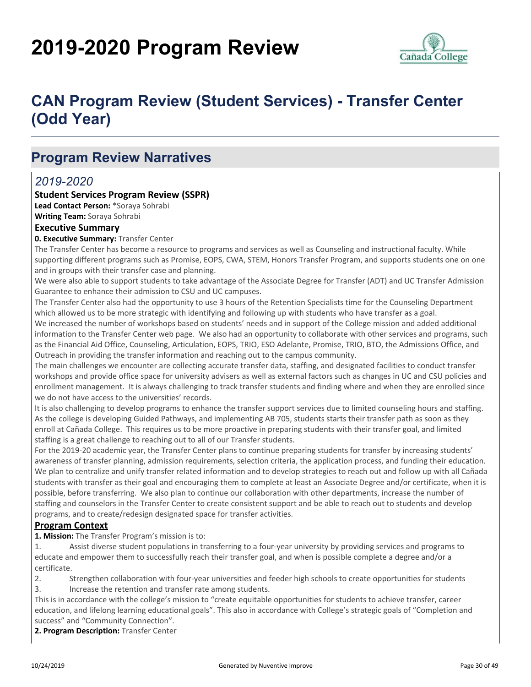# **2019-2020 Program Review**



## **CAN Program Review (Student Services) - Transfer Center (Odd Year)**

### **Program Review Narratives**

#### *2019-2020*

#### **Student Services Program Review (SSPR)**

**Lead Contact Person:** \*Soraya Sohrabi **Writing Team:** Soraya Sohrabi

#### **Executive Summary**

#### **0. Executive Summary:** Transfer Center

The Transfer Center has become a resource to programs and services as well as Counseling and instructional faculty. While supporting different programs such as Promise, EOPS, CWA, STEM, Honors Transfer Program, and supports students one on one and in groups with their transfer case and planning.

We were also able to support students to take advantage of the Associate Degree for Transfer (ADT) and UC Transfer Admission Guarantee to enhance their admission to CSU and UC campuses.

The Transfer Center also had the opportunity to use 3 hours of the Retention Specialists time for the Counseling Department which allowed us to be more strategic with identifying and following up with students who have transfer as a goal. We increased the number of workshops based on students' needs and in support of the College mission and added additional information to the Transfer Center web page. We also had an opportunity to collaborate with other services and programs, such as the Financial Aid Office, Counseling, Articulation, EOPS, TRIO, ESO Adelante, Promise, TRIO, BTO, the Admissions Office, and Outreach in providing the transfer information and reaching out to the campus community.

The main challenges we encounter are collecting accurate transfer data, staffing, and designated facilities to conduct transfer workshops and provide office space for university advisers as well as external factors such as changes in UC and CSU policies and enrollment management. It is always challenging to track transfer students and finding where and when they are enrolled since we do not have access to the universities' records.

It is also challenging to develop programs to enhance the transfer support services due to limited counseling hours and staffing. As the college is developing Guided Pathways, and implementing AB 705, students starts their transfer path as soon as they enroll at Cañada College. This requires us to be more proactive in preparing students with their transfer goal, and limited staffing is a great challenge to reaching out to all of our Transfer students.

For the 2019-20 academic year, the Transfer Center plans to continue preparing students for transfer by increasing students' awareness of transfer planning, admission requirements, selection criteria, the application process, and funding their education. We plan to centralize and unify transfer related information and to develop strategies to reach out and follow up with all Cañada students with transfer as their goal and encouraging them to complete at least an Associate Degree and/or certificate, when it is possible, before transferring. We also plan to continue our collaboration with other departments, increase the number of staffing and counselors in the Transfer Center to create consistent support and be able to reach out to students and develop programs, and to create/redesign designated space for transfer activities.

#### **Program Context**

**1. Mission:** The Transfer Program's mission is to:

1. Assist diverse student populations in transferring to a four-year university by providing services and programs to educate and empower them to successfully reach their transfer goal, and when is possible complete a degree and/or a certificate.

2. Strengthen collaboration with four-year universities and feeder high schools to create opportunities for students 3. Increase the retention and transfer rate among students.

This is in accordance with the college's mission to "create equitable opportunities for students to achieve transfer, career education, and lifelong learning educational goals". This also in accordance with College's strategic goals of "Completion and success" and "Community Connection".

**2. Program Description:** Transfer Center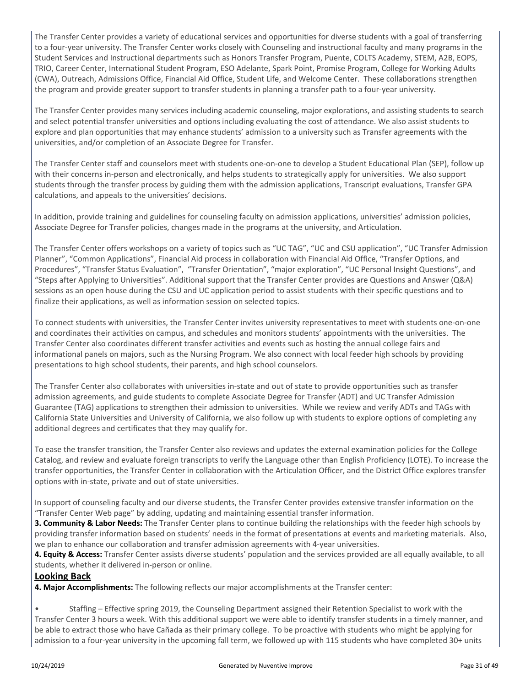The Transfer Center provides a variety of educational services and opportunities for diverse students with a goal of transferring to a four-year university. The Transfer Center works closely with Counseling and instructional faculty and many programs in the Student Services and Instructional departments such as Honors Transfer Program, Puente, COLTS Academy, STEM, A2B, EOPS, TRIO, Career Center, International Student Program, ESO Adelante, Spark Point, Promise Program, College for Working Adults (CWA), Outreach, Admissions Office, Financial Aid Office, Student Life, and Welcome Center. These collaborations strengthen the program and provide greater support to transfer students in planning a transfer path to a four-year university.

The Transfer Center provides many services including academic counseling, major explorations, and assisting students to search and select potential transfer universities and options including evaluating the cost of attendance. We also assist students to explore and plan opportunities that may enhance students' admission to a university such as Transfer agreements with the universities, and/or completion of an Associate Degree for Transfer.

The Transfer Center staff and counselors meet with students one-on-one to develop a Student Educational Plan (SEP), follow up with their concerns in-person and electronically, and helps students to strategically apply for universities. We also support students through the transfer process by guiding them with the admission applications, Transcript evaluations, Transfer GPA calculations, and appeals to the universities' decisions.

In addition, provide training and guidelines for counseling faculty on admission applications, universities' admission policies, Associate Degree for Transfer policies, changes made in the programs at the university, and Articulation.

The Transfer Center offers workshops on a variety of topics such as "UC TAG", "UC and CSU application", "UC Transfer Admission Planner", "Common Applications", Financial Aid process in collaboration with Financial Aid Office, "Transfer Options, and Procedures", "Transfer Status Evaluation", "Transfer Orientation", "major exploration", "UC Personal Insight Questions", and "Steps after Applying to Universities". Additional support that the Transfer Center provides are Questions and Answer (Q&A) sessions as an open house during the CSU and UC application period to assist students with their specific questions and to finalize their applications, as well as information session on selected topics.

To connect students with universities, the Transfer Center invites university representatives to meet with students one-on-one and coordinates their activities on campus, and schedules and monitors students' appointments with the universities. The Transfer Center also coordinates different transfer activities and events such as hosting the annual college fairs and informational panels on majors, such as the Nursing Program. We also connect with local feeder high schools by providing presentations to high school students, their parents, and high school counselors.

The Transfer Center also collaborates with universities in-state and out of state to provide opportunities such as transfer admission agreements, and guide students to complete Associate Degree for Transfer (ADT) and UC Transfer Admission Guarantee (TAG) applications to strengthen their admission to universities. While we review and verify ADTs and TAGs with California State Universities and University of California, we also follow up with students to explore options of completing any additional degrees and certificates that they may qualify for.

To ease the transfer transition, the Transfer Center also reviews and updates the external examination policies for the College Catalog, and review and evaluate foreign transcripts to verify the Language other than English Proficiency (LOTE). To increase the transfer opportunities, the Transfer Center in collaboration with the Articulation Officer, and the District Office explores transfer options with in-state, private and out of state universities.

In support of counseling faculty and our diverse students, the Transfer Center provides extensive transfer information on the "Transfer Center Web page" by adding, updating and maintaining essential transfer information.

**3. Community & Labor Needs:** The Transfer Center plans to continue building the relationships with the feeder high schools by providing transfer information based on students' needs in the format of presentations at events and marketing materials. Also, we plan to enhance our collaboration and transfer admission agreements with 4-year universities.

**4. Equity & Access:** Transfer Center assists diverse students' population and the services provided are all equally available, to all students, whether it delivered in-person or online.

#### **Looking Back**

**4. Major Accomplishments:** The following reflects our major accomplishments at the Transfer center:

• Staffing – Effective spring 2019, the Counseling Department assigned their Retention Specialist to work with the Transfer Center 3 hours a week. With this additional support we were able to identify transfer students in a timely manner, and be able to extract those who have Cañada as their primary college. To be proactive with students who might be applying for admission to a four-year university in the upcoming fall term, we followed up with 115 students who have completed 30+ units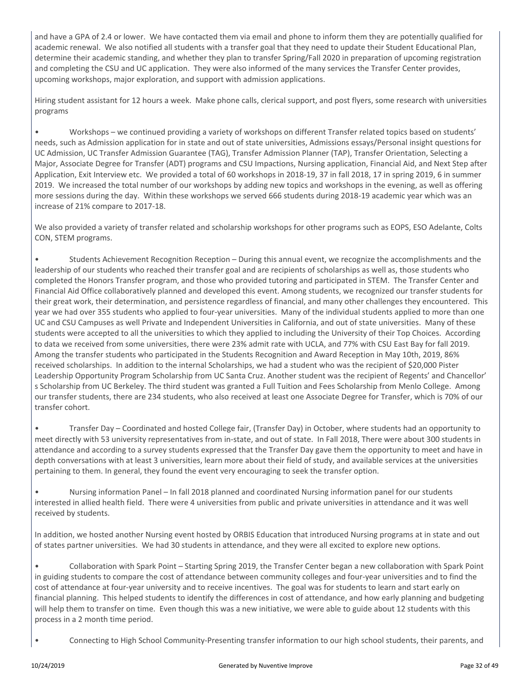and have a GPA of 2.4 or lower. We have contacted them via email and phone to inform them they are potentially qualified for academic renewal. We also notified all students with a transfer goal that they need to update their Student Educational Plan, determine their academic standing, and whether they plan to transfer Spring/Fall 2020 in preparation of upcoming registration and completing the CSU and UC application. They were also informed of the many services the Transfer Center provides, upcoming workshops, major exploration, and support with admission applications.

Hiring student assistant for 12 hours a week. Make phone calls, clerical support, and post flyers, some research with universities programs

• Workshops – we continued providing a variety of workshops on different Transfer related topics based on students' needs, such as Admission application for in state and out of state universities, Admissions essays/Personal insight questions for UC Admission, UC Transfer Admission Guarantee (TAG), Transfer Admission Planner (TAP), Transfer Orientation, Selecting a Major, Associate Degree for Transfer (ADT) programs and CSU Impactions, Nursing application, Financial Aid, and Next Step after Application, Exit Interview etc. We provided a total of 60 workshops in 2018-19, 37 in fall 2018, 17 in spring 2019, 6 in summer 2019. We increased the total number of our workshops by adding new topics and workshops in the evening, as well as offering more sessions during the day. Within these workshops we served 666 students during 2018-19 academic year which was an increase of 21% compare to 2017-18.

We also provided a variety of transfer related and scholarship workshops for other programs such as EOPS, ESO Adelante, Colts CON, STEM programs.

• Students Achievement Recognition Reception – During this annual event, we recognize the accomplishments and the leadership of our students who reached their transfer goal and are recipients of scholarships as well as, those students who completed the Honors Transfer program, and those who provided tutoring and participated in STEM. The Transfer Center and Financial Aid Office collaboratively planned and developed this event. Among students, we recognized our transfer students for their great work, their determination, and persistence regardless of financial, and many other challenges they encountered. This year we had over 355 students who applied to four-year universities. Many of the individual students applied to more than one UC and CSU Campuses as well Private and Independent Universities in California, and out of state universities. Many of these students were accepted to all the universities to which they applied to including the University of their Top Choices. According to data we received from some universities, there were 23% admit rate with UCLA, and 77% with CSU East Bay for fall 2019. Among the transfer students who participated in the Students Recognition and Award Reception in May 10th, 2019, 86% received scholarships. In addition to the internal Scholarships, we had a student who was the recipient of \$20,000 Pister Leadership Opportunity Program Scholarship from UC Santa Cruz. Another student was the recipient of Regents' and Chancellor' s Scholarship from UC Berkeley. The third student was granted a Full Tuition and Fees Scholarship from Menlo College. Among our transfer students, there are 234 students, who also received at least one Associate Degree for Transfer, which is 70% of our transfer cohort.

• Transfer Day – Coordinated and hosted College fair, (Transfer Day) in October, where students had an opportunity to meet directly with 53 university representatives from in-state, and out of state. In Fall 2018, There were about 300 students in attendance and according to a survey students expressed that the Transfer Day gave them the opportunity to meet and have in depth conversations with at least 3 universities, learn more about their field of study, and available services at the universities pertaining to them. In general, they found the event very encouraging to seek the transfer option.

• Nursing information Panel – In fall 2018 planned and coordinated Nursing information panel for our students interested in allied health field. There were 4 universities from public and private universities in attendance and it was well received by students.

In addition, we hosted another Nursing event hosted by ORBIS Education that introduced Nursing programs at in state and out of states partner universities. We had 30 students in attendance, and they were all excited to explore new options.

• Collaboration with Spark Point – Starting Spring 2019, the Transfer Center began a new collaboration with Spark Point in guiding students to compare the cost of attendance between community colleges and four-year universities and to find the cost of attendance at four-year university and to receive incentives. The goal was for students to learn and start early on financial planning. This helped students to identify the differences in cost of attendance, and how early planning and budgeting will help them to transfer on time. Even though this was a new initiative, we were able to guide about 12 students with this process in a 2 month time period.

• Connecting to High School Community-Presenting transfer information to our high school students, their parents, and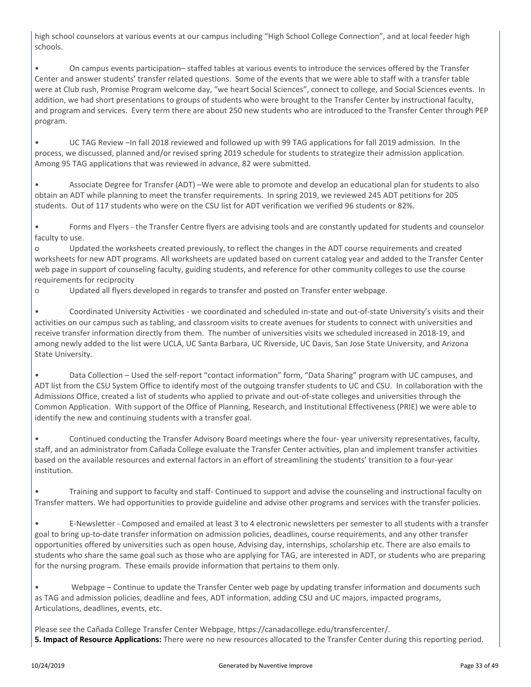high school counselors at various events at our campus including "High School College Connection", and at local feeder high schools.

• On campus events participation– staffed tables at various events to introduce the services offered by the Transfer Center and answer students' transfer related questions. Some of the events that we were able to staff with a transfer table were at Club rush, Promise Program welcome day, "we heart Social Sciences", connect to college, and Social Sciences events. In addition, we had short presentations to groups of students who were brought to the Transfer Center by instructional faculty, and program and services. Every term there are about 250 new students who are introduced to the Transfer Center through PEP program.

• UC TAG Review –In fall 2018 reviewed and followed up with 99 TAG applications for fall 2019 admission. In the process, we discussed, planned and/or revised spring 2019 schedule for students to strategize their admission application. Among 95 TAG applications that was reviewed in advance, 82 were submitted.

• Associate Degree for Transfer (ADT) –We were able to promote and develop an educational plan for students to also obtain an ADT while planning to meet the transfer requirements. In spring 2019, we reviewed 245 ADT petitions for 205 students. Out of 117 students who were on the CSU list for ADT verification we verified 96 students or 82%.

• Forms and Flyers - the Transfer Centre flyers are advising tools and are constantly updated for students and counselor faculty to use.

o Updated the worksheets created previously, to reflect the changes in the ADT course requirements and created worksheets for new ADT programs. All worksheets are updated based on current catalog year and added to the Transfer Center web page in support of counseling faculty, guiding students, and reference for other community colleges to use the course requirements for reciprocity

o Updated all flyers developed in regards to transfer and posted on Transfer enter webpage.

• Coordinated University Activities - we coordinated and scheduled in-state and out-of-state University's visits and their activities on our campus such as tabling, and classroom visits to create avenues for students to connect with universities and receive transfer information directly from them. The number of universities visits we scheduled increased in 2018-19, and among newly added to the list were UCLA, UC Santa Barbara, UC Riverside, UC Davis, San Jose State University, and Arizona State University.

• Data Collection – Used the self-report "contact information" form, "Data Sharing" program with UC campuses, and ADT list from the CSU System Office to identify most of the outgoing transfer students to UC and CSU. In collaboration with the Admissions Office, created a list of students who applied to private and out-of-state colleges and universities through the Common Application. With support of the Office of Planning, Research, and Institutional Effectiveness (PRIE) we were able to identify the new and continuing students with a transfer goal.

• Continued conducting the Transfer Advisory Board meetings where the four- year university representatives, faculty, staff, and an administrator from Cañada College evaluate the Transfer Center activities, plan and implement transfer activities based on the available resources and external factors in an effort of streamlining the students' transition to a four-year institution.

• Training and support to faculty and staff- Continued to support and advise the counseling and instructional faculty on Transfer matters. We had opportunities to provide guideline and advise other programs and services with the transfer policies.

• E-Newsletter - Composed and emailed at least 3 to 4 electronic newsletters per semester to all students with a transfer goal to bring up-to-date transfer information on admission policies, deadlines, course requirements, and any other transfer opportunities offered by universities such as open house, Advising day, internships, scholarship etc. There are also emails to students who share the same goal such as those who are applying for TAG, are interested in ADT, or students who are preparing for the nursing program. These emails provide information that pertains to them only.

• Webpage – Continue to update the Transfer Center web page by updating transfer information and documents such as TAG and admission policies, deadline and fees, ADT information, adding CSU and UC majors, impacted programs, Articulations, deadlines, events, etc.

Please see the Cañada College Transfer Center Webpage, https://canadacollege.edu/transfercenter/. **5. Impact of Resource Applications:** There were no new resources allocated to the Transfer Center during this reporting period.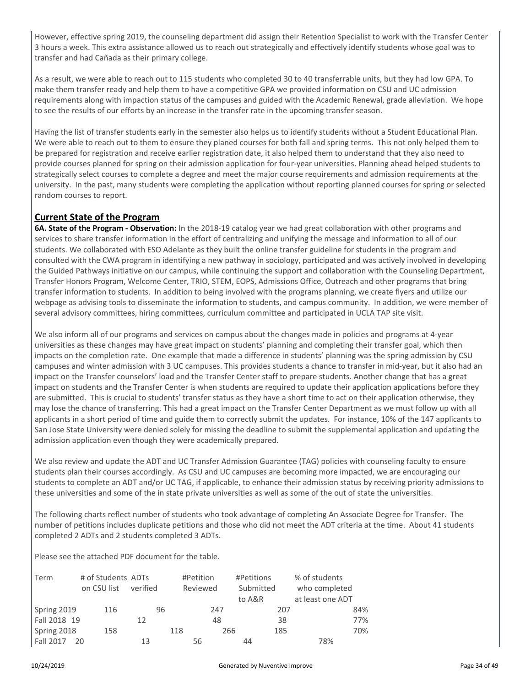However, effective spring 2019, the counseling department did assign their Retention Specialist to work with the Transfer Center 3 hours a week. This extra assistance allowed us to reach out strategically and effectively identify students whose goal was to transfer and had Cañada as their primary college.

As a result, we were able to reach out to 115 students who completed 30 to 40 transferrable units, but they had low GPA. To make them transfer ready and help them to have a competitive GPA we provided information on CSU and UC admission requirements along with impaction status of the campuses and guided with the Academic Renewal, grade alleviation. We hope to see the results of our efforts by an increase in the transfer rate in the upcoming transfer season.

Having the list of transfer students early in the semester also helps us to identify students without a Student Educational Plan. We were able to reach out to them to ensure they planed courses for both fall and spring terms. This not only helped them to be prepared for registration and receive earlier registration date, it also helped them to understand that they also need to provide courses planned for spring on their admission application for four-year universities. Planning ahead helped students to strategically select courses to complete a degree and meet the major course requirements and admission requirements at the university. In the past, many students were completing the application without reporting planned courses for spring or selected random courses to report.

#### **Current State of the Program**

**6A. State of the Program - Observation:** In the 2018-19 catalog year we had great collaboration with other programs and services to share transfer information in the effort of centralizing and unifying the message and information to all of our students. We collaborated with ESO Adelante as they built the online transfer guideline for students in the program and consulted with the CWA program in identifying a new pathway in sociology, participated and was actively involved in developing the Guided Pathways initiative on our campus, while continuing the support and collaboration with the Counseling Department, Transfer Honors Program, Welcome Center, TRIO, STEM, EOPS, Admissions Office, Outreach and other programs that bring transfer information to students. In addition to being involved with the programs planning, we create flyers and utilize our webpage as advising tools to disseminate the information to students, and campus community. In addition, we were member of several advisory committees, hiring committees, curriculum committee and participated in UCLA TAP site visit.

We also inform all of our programs and services on campus about the changes made in policies and programs at 4-year universities as these changes may have great impact on students' planning and completing their transfer goal, which then impacts on the completion rate. One example that made a difference in students' planning was the spring admission by CSU campuses and winter admission with 3 UC campuses. This provides students a chance to transfer in mid-year, but it also had an impact on the Transfer counselors' load and the Transfer Center staff to prepare students. Another change that has a great impact on students and the Transfer Center is when students are required to update their application applications before they are submitted. This is crucial to students' transfer status as they have a short time to act on their application otherwise, they may lose the chance of transferring. This had a great impact on the Transfer Center Department as we must follow up with all applicants in a short period of time and guide them to correctly submit the updates. For instance, 10% of the 147 applicants to San Jose State University were denied solely for missing the deadline to submit the supplemental application and updating the admission application even though they were academically prepared.

We also review and update the ADT and UC Transfer Admission Guarantee (TAG) policies with counseling faculty to ensure students plan their courses accordingly. As CSU and UC campuses are becoming more impacted, we are encouraging our students to complete an ADT and/or UC TAG, if applicable, to enhance their admission status by receiving priority admissions to these universities and some of the in state private universities as well as some of the out of state the universities.

The following charts reflect number of students who took advantage of completing An Associate Degree for Transfer. The number of petitions includes duplicate petitions and those who did not meet the ADT criteria at the time. About 41 students completed 2 ADTs and 2 students completed 3 ADTs.

Please see the attached PDF document for the table.

| Term         | # of Students ADTs |          |     | #Petition | #Petitions |     | % of students    |     |
|--------------|--------------------|----------|-----|-----------|------------|-----|------------------|-----|
|              | on CSU list        | verified |     | Reviewed  | Submitted  |     | who completed    |     |
|              |                    |          |     |           | to A&R     |     | at least one ADT |     |
| Spring 2019  | 116                | 96       |     | 247       |            | 207 |                  | 84% |
| Fall 2018 19 |                    | 12       |     | 48        |            | 38  |                  | 77% |
| Spring 2018  | 158                |          | 118 |           | 266        | 185 |                  | 70% |
| Fall 2017    | 20                 | 13       |     | 56        | 44         |     | 78%              |     |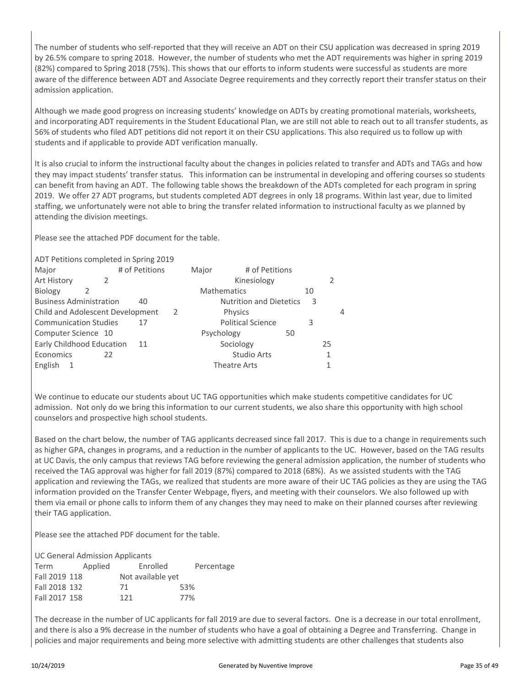The number of students who self-reported that they will receive an ADT on their CSU application was decreased in spring 2019 by 26.5% compare to spring 2018. However, the number of students who met the ADT requirements was higher in spring 2019 (82%) compared to Spring 2018 (75%). This shows that our efforts to inform students were successful as students are more aware of the difference between ADT and Associate Degree requirements and they correctly report their transfer status on their admission application.

Although we made good progress on increasing students' knowledge on ADTs by creating promotional materials, worksheets, and incorporating ADT requirements in the Student Educational Plan, we are still not able to reach out to all transfer students, as 56% of students who filed ADT petitions did not report it on their CSU applications. This also required us to follow up with students and if applicable to provide ADT verification manually.

It is also crucial to inform the instructional faculty about the changes in policies related to transfer and ADTs and TAGs and how they may impact students' transfer status. This information can be instrumental in developing and offering courses so students can benefit from having an ADT. The following table shows the breakdown of the ADTs completed for each program in spring 2019. We offer 27 ADT programs, but students completed ADT degrees in only 18 programs. Within last year, due to limited staffing, we unfortunately were not able to bring the transfer related information to instructional faculty as we planned by attending the division meetings.

Please see the attached PDF document for the table.

| ADT Petitions completed in Spring 2019 |    |                |   |       |                                |                |    |    |   |
|----------------------------------------|----|----------------|---|-------|--------------------------------|----------------|----|----|---|
| Major                                  |    | # of Petitions |   | Major |                                | # of Petitions |    |    |   |
| Art History                            |    |                |   |       | Kinesiology                    |                |    | 2  |   |
| Biology                                | 2  |                |   |       | <b>Mathematics</b>             |                | 10 |    |   |
| <b>Business Administration</b>         |    | 40             |   |       | <b>Nutrition and Dietetics</b> |                | 3  |    |   |
| Child and Adolescent Development       |    |                | 2 |       | Physics                        |                |    |    | 4 |
| <b>Communication Studies</b>           |    | 17             |   |       | <b>Political Science</b>       |                | 3  |    |   |
| Computer Science 10                    |    |                |   |       | Psychology                     | 50             |    |    |   |
| Early Childhood Education              |    | 11             |   |       | Sociology                      |                |    | 25 |   |
| Economics                              | 22 |                |   |       | <b>Studio Arts</b>             |                |    | 1  |   |
| English<br>1                           |    |                |   |       | Theatre Arts                   |                |    |    |   |
|                                        |    |                |   |       |                                |                |    |    |   |

We continue to educate our students about UC TAG opportunities which make students competitive candidates for UC admission. Not only do we bring this information to our current students, we also share this opportunity with high school counselors and prospective high school students.

Based on the chart below, the number of TAG applicants decreased since fall 2017. This is due to a change in requirements such as higher GPA, changes in programs, and a reduction in the number of applicants to the UC. However, based on the TAG results at UC Davis, the only campus that reviews TAG before reviewing the general admission application, the number of students who received the TAG approval was higher for fall 2019 (87%) compared to 2018 (68%). As we assisted students with the TAG application and reviewing the TAGs, we realized that students are more aware of their UC TAG policies as they are using the TAG information provided on the Transfer Center Webpage, flyers, and meeting with their counselors. We also followed up with them via email or phone calls to inform them of any changes they may need to make on their planned courses after reviewing their TAG application.

Please see the attached PDF document for the table.

UC General Admission Applicants

| Term          | Applied | Enrolled          | Percentage |
|---------------|---------|-------------------|------------|
| Fall 2019 118 |         | Not available yet |            |
| Fall 2018 132 |         | 71                | 53%        |
| Fall 2017 158 |         | 121               | 77%        |
|               |         |                   |            |

The decrease in the number of UC applicants for fall 2019 are due to several factors. One is a decrease in our total enrollment, and there is also a 9% decrease in the number of students who have a goal of obtaining a Degree and Transferring. Change in policies and major requirements and being more selective with admitting students are other challenges that students also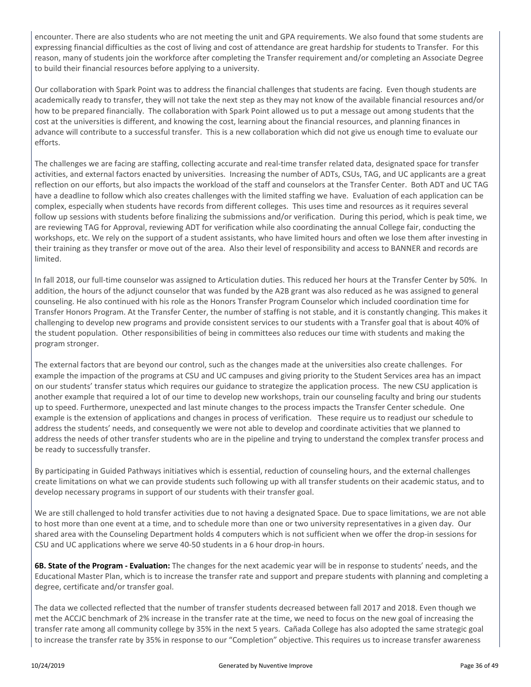encounter. There are also students who are not meeting the unit and GPA requirements. We also found that some students are expressing financial difficulties as the cost of living and cost of attendance are great hardship for students to Transfer. For this reason, many of students join the workforce after completing the Transfer requirement and/or completing an Associate Degree to build their financial resources before applying to a university.

Our collaboration with Spark Point was to address the financial challenges that students are facing. Even though students are academically ready to transfer, they will not take the next step as they may not know of the available financial resources and/or how to be prepared financially. The collaboration with Spark Point allowed us to put a message out among students that the cost at the universities is different, and knowing the cost, learning about the financial resources, and planning finances in advance will contribute to a successful transfer. This is a new collaboration which did not give us enough time to evaluate our efforts.

The challenges we are facing are staffing, collecting accurate and real-time transfer related data, designated space for transfer activities, and external factors enacted by universities. Increasing the number of ADTs, CSUs, TAG, and UC applicants are a great reflection on our efforts, but also impacts the workload of the staff and counselors at the Transfer Center. Both ADT and UC TAG have a deadline to follow which also creates challenges with the limited staffing we have. Evaluation of each application can be complex, especially when students have records from different colleges. This uses time and resources as it requires several follow up sessions with students before finalizing the submissions and/or verification. During this period, which is peak time, we are reviewing TAG for Approval, reviewing ADT for verification while also coordinating the annual College fair, conducting the workshops, etc. We rely on the support of a student assistants, who have limited hours and often we lose them after investing in their training as they transfer or move out of the area. Also their level of responsibility and access to BANNER and records are limited.

In fall 2018, our full-time counselor was assigned to Articulation duties. This reduced her hours at the Transfer Center by 50%. In addition, the hours of the adjunct counselor that was funded by the A2B grant was also reduced as he was assigned to general counseling. He also continued with his role as the Honors Transfer Program Counselor which included coordination time for Transfer Honors Program. At the Transfer Center, the number of staffing is not stable, and it is constantly changing. This makes it challenging to develop new programs and provide consistent services to our students with a Transfer goal that is about 40% of the student population. Other responsibilities of being in committees also reduces our time with students and making the program stronger.

The external factors that are beyond our control, such as the changes made at the universities also create challenges. For example the impaction of the programs at CSU and UC campuses and giving priority to the Student Services area has an impact on our students' transfer status which requires our guidance to strategize the application process. The new CSU application is another example that required a lot of our time to develop new workshops, train our counseling faculty and bring our students up to speed. Furthermore, unexpected and last minute changes to the process impacts the Transfer Center schedule. One example is the extension of applications and changes in process of verification. These require us to readjust our schedule to address the students' needs, and consequently we were not able to develop and coordinate activities that we planned to address the needs of other transfer students who are in the pipeline and trying to understand the complex transfer process and be ready to successfully transfer.

By participating in Guided Pathways initiatives which is essential, reduction of counseling hours, and the external challenges create limitations on what we can provide students such following up with all transfer students on their academic status, and to develop necessary programs in support of our students with their transfer goal.

We are still challenged to hold transfer activities due to not having a designated Space. Due to space limitations, we are not able to host more than one event at a time, and to schedule more than one or two university representatives in a given day. Our shared area with the Counseling Department holds 4 computers which is not sufficient when we offer the drop-in sessions for CSU and UC applications where we serve 40-50 students in a 6 hour drop-in hours.

**6B. State of the Program - Evaluation:** The changes for the next academic year will be in response to students' needs, and the Educational Master Plan, which is to increase the transfer rate and support and prepare students with planning and completing a degree, certificate and/or transfer goal.

The data we collected reflected that the number of transfer students decreased between fall 2017 and 2018. Even though we met the ACCJC benchmark of 2% increase in the transfer rate at the time, we need to focus on the new goal of increasing the transfer rate among all community college by 35% in the next 5 years. Cañada College has also adopted the same strategic goal to increase the transfer rate by 35% in response to our "Completion" objective. This requires us to increase transfer awareness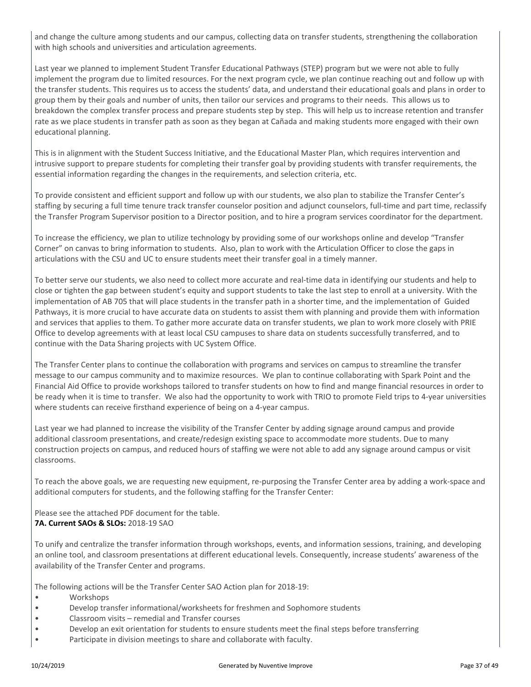and change the culture among students and our campus, collecting data on transfer students, strengthening the collaboration with high schools and universities and articulation agreements.

Last year we planned to implement Student Transfer Educational Pathways (STEP) program but we were not able to fully implement the program due to limited resources. For the next program cycle, we plan continue reaching out and follow up with the transfer students. This requires us to access the students' data, and understand their educational goals and plans in order to group them by their goals and number of units, then tailor our services and programs to their needs. This allows us to breakdown the complex transfer process and prepare students step by step. This will help us to increase retention and transfer rate as we place students in transfer path as soon as they began at Cañada and making students more engaged with their own educational planning.

This is in alignment with the Student Success Initiative, and the Educational Master Plan, which requires intervention and intrusive support to prepare students for completing their transfer goal by providing students with transfer requirements, the essential information regarding the changes in the requirements, and selection criteria, etc.

To provide consistent and efficient support and follow up with our students, we also plan to stabilize the Transfer Center's staffing by securing a full time tenure track transfer counselor position and adjunct counselors, full-time and part time, reclassify the Transfer Program Supervisor position to a Director position, and to hire a program services coordinator for the department.

To increase the efficiency, we plan to utilize technology by providing some of our workshops online and develop "Transfer Corner" on canvas to bring information to students. Also, plan to work with the Articulation Officer to close the gaps in articulations with the CSU and UC to ensure students meet their transfer goal in a timely manner.

To better serve our students, we also need to collect more accurate and real-time data in identifying our students and help to close or tighten the gap between student's equity and support students to take the last step to enroll at a university. With the implementation of AB 705 that will place students in the transfer path in a shorter time, and the implementation of Guided Pathways, it is more crucial to have accurate data on students to assist them with planning and provide them with information and services that applies to them. To gather more accurate data on transfer students, we plan to work more closely with PRIE Office to develop agreements with at least local CSU campuses to share data on students successfully transferred, and to continue with the Data Sharing projects with UC System Office.

The Transfer Center plans to continue the collaboration with programs and services on campus to streamline the transfer message to our campus community and to maximize resources. We plan to continue collaborating with Spark Point and the Financial Aid Office to provide workshops tailored to transfer students on how to find and mange financial resources in order to be ready when it is time to transfer. We also had the opportunity to work with TRIO to promote Field trips to 4-year universities where students can receive firsthand experience of being on a 4-year campus.

Last year we had planned to increase the visibility of the Transfer Center by adding signage around campus and provide additional classroom presentations, and create/redesign existing space to accommodate more students. Due to many construction projects on campus, and reduced hours of staffing we were not able to add any signage around campus or visit classrooms.

To reach the above goals, we are requesting new equipment, re-purposing the Transfer Center area by adding a work-space and additional computers for students, and the following staffing for the Transfer Center:

Please see the attached PDF document for the table. **7A. Current SAOs & SLOs:** 2018-19 SAO

To unify and centralize the transfer information through workshops, events, and information sessions, training, and developing an online tool, and classroom presentations at different educational levels. Consequently, increase students' awareness of the availability of the Transfer Center and programs.

The following actions will be the Transfer Center SAO Action plan for 2018-19:

- Workshops
- Develop transfer informational/worksheets for freshmen and Sophomore students
- Classroom visits remedial and Transfer courses
- Develop an exit orientation for students to ensure students meet the final steps before transferring
- Participate in division meetings to share and collaborate with faculty.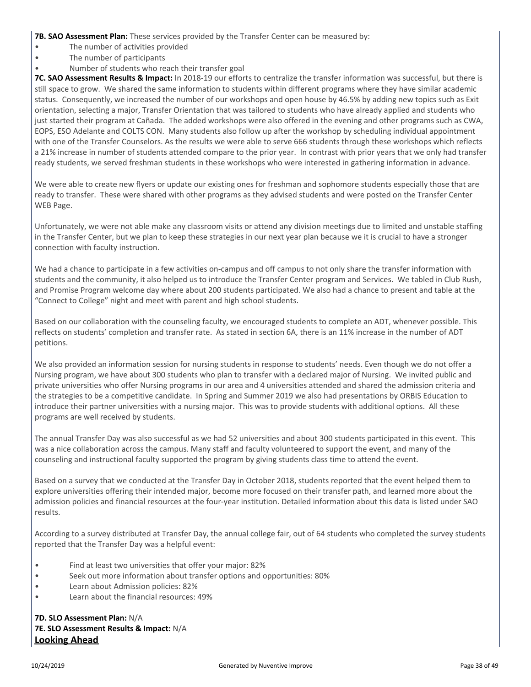**7B. SAO Assessment Plan:** These services provided by the Transfer Center can be measured by:

- The number of activities provided
- The number of participants
- Number of students who reach their transfer goal

**7C. SAO Assessment Results & Impact:** In 2018-19 our efforts to centralize the transfer information was successful, but there is still space to grow. We shared the same information to students within different programs where they have similar academic status. Consequently, we increased the number of our workshops and open house by 46.5% by adding new topics such as Exit orientation, selecting a major, Transfer Orientation that was tailored to students who have already applied and students who just started their program at Cañada. The added workshops were also offered in the evening and other programs such as CWA, EOPS, ESO Adelante and COLTS CON. Many students also follow up after the workshop by scheduling individual appointment with one of the Transfer Counselors. As the results we were able to serve 666 students through these workshops which reflects a 21% increase in number of students attended compare to the prior year. In contrast with prior years that we only had transfer ready students, we served freshman students in these workshops who were interested in gathering information in advance.

We were able to create new flyers or update our existing ones for freshman and sophomore students especially those that are ready to transfer. These were shared with other programs as they advised students and were posted on the Transfer Center WEB Page.

Unfortunately, we were not able make any classroom visits or attend any division meetings due to limited and unstable staffing in the Transfer Center, but we plan to keep these strategies in our next year plan because we it is crucial to have a stronger connection with faculty instruction.

We had a chance to participate in a few activities on-campus and off campus to not only share the transfer information with students and the community, it also helped us to introduce the Transfer Center program and Services. We tabled in Club Rush, and Promise Program welcome day where about 200 students participated. We also had a chance to present and table at the "Connect to College" night and meet with parent and high school students.

Based on our collaboration with the counseling faculty, we encouraged students to complete an ADT, whenever possible. This reflects on students' completion and transfer rate. As stated in section 6A, there is an 11% increase in the number of ADT petitions.

We also provided an information session for nursing students in response to students' needs. Even though we do not offer a Nursing program, we have about 300 students who plan to transfer with a declared major of Nursing. We invited public and private universities who offer Nursing programs in our area and 4 universities attended and shared the admission criteria and the strategies to be a competitive candidate. In Spring and Summer 2019 we also had presentations by ORBIS Education to introduce their partner universities with a nursing major. This was to provide students with additional options. All these programs are well received by students.

The annual Transfer Day was also successful as we had 52 universities and about 300 students participated in this event. This was a nice collaboration across the campus. Many staff and faculty volunteered to support the event, and many of the counseling and instructional faculty supported the program by giving students class time to attend the event.

Based on a survey that we conducted at the Transfer Day in October 2018, students reported that the event helped them to explore universities offering their intended major, become more focused on their transfer path, and learned more about the admission policies and financial resources at the four-year institution. Detailed information about this data is listed under SAO results.

According to a survey distributed at Transfer Day, the annual college fair, out of 64 students who completed the survey students reported that the Transfer Day was a helpful event:

- Find at least two universities that offer your major: 82%
- Seek out more information about transfer options and opportunities: 80%
- Learn about Admission policies: 82%
- Learn about the financial resources: 49%

**7D. SLO Assessment Plan:** N/A **7E. SLO Assessment Results & Impact:** N/A **Looking Ahead**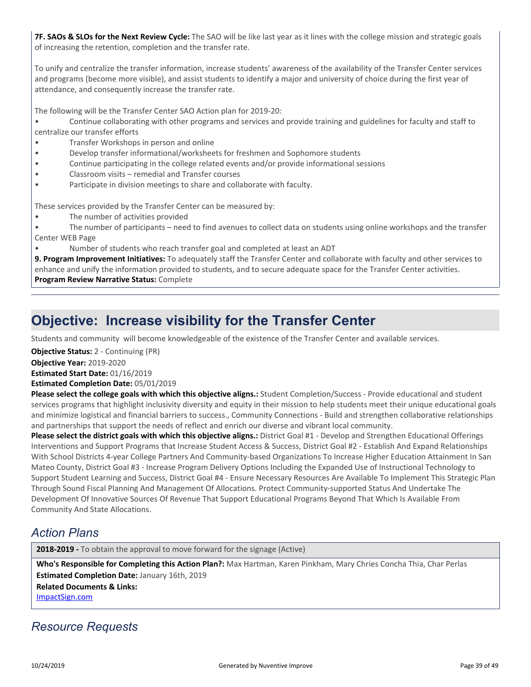**7F. SAOs & SLOs for the Next Review Cycle:** The SAO will be like last year as it lines with the college mission and strategic goals of increasing the retention, completion and the transfer rate.

To unify and centralize the transfer information, increase students' awareness of the availability of the Transfer Center services and programs (become more visible), and assist students to identify a major and university of choice during the first year of attendance, and consequently increase the transfer rate.

The following will be the Transfer Center SAO Action plan for 2019-20:

- Continue collaborating with other programs and services and provide training and guidelines for faculty and staff to centralize our transfer efforts
- Transfer Workshops in person and online
- Develop transfer informational/worksheets for freshmen and Sophomore students
- Continue participating in the college related events and/or provide informational sessions
- Classroom visits remedial and Transfer courses
- Participate in division meetings to share and collaborate with faculty.

These services provided by the Transfer Center can be measured by:

• The number of activities provided

• The number of participants – need to find avenues to collect data on students using online workshops and the transfer Center WEB Page

• Number of students who reach transfer goal and completed at least an ADT

**9. Program Improvement Initiatives:** To adequately staff the Transfer Center and collaborate with faculty and other services to enhance and unify the information provided to students, and to secure adequate space for the Transfer Center activities. **Program Review Narrative Status:** Complete

### **Objective: Increase visibility for the Transfer Center**

Students and community will become knowledgeable of the existence of the Transfer Center and available services.

**Objective Status:** 2 - Continuing (PR)

**Objective Year:** 2019-2020

**Estimated Start Date:** 01/16/2019

**Estimated Completion Date:** 05/01/2019

**Please select the college goals with which this objective aligns.:** Student Completion/Success - Provide educational and student services programs that highlight inclusivity diversity and equity in their mission to help students meet their unique educational goals and minimize logistical and financial barriers to success., Community Connections - Build and strengthen collaborative relationships and partnerships that support the needs of reflect and enrich our diverse and vibrant local community.

**Please select the district goals with which this objective aligns.:** District Goal #1 - Develop and Strengthen Educational Offerings Interventions and Support Programs that Increase Student Access & Success, District Goal #2 - Establish And Expand Relationships With School Districts 4-year College Partners And Community-based Organizations To Increase Higher Education Attainment In San Mateo County, District Goal #3 - Increase Program Delivery Options Including the Expanded Use of Instructional Technology to Support Student Learning and Success, District Goal #4 - Ensure Necessary Resources Are Available To Implement This Strategic Plan Through Sound Fiscal Planning And Management Of Allocations. Protect Community-supported Status And Undertake The Development Of Innovative Sources Of Revenue That Support Educational Programs Beyond That Which Is Available From Community And State Allocations.

### *Action Plans*

**2018-2019 -** To obtain the approval to move forward for the signage (Active)

**Related Documents & Links:** [ImpactSign.com](https://sanmateo.tracdat.com:443/tracdat/viewDocument?y=YYfp7TVkOQxe) **Who's Responsible for Completing this Action Plan?:** Max Hartman, Karen Pinkham, Mary Chries Concha Thia, Char Perlas **Estimated Completion Date:** January 16th, 2019

### *Resource Requests*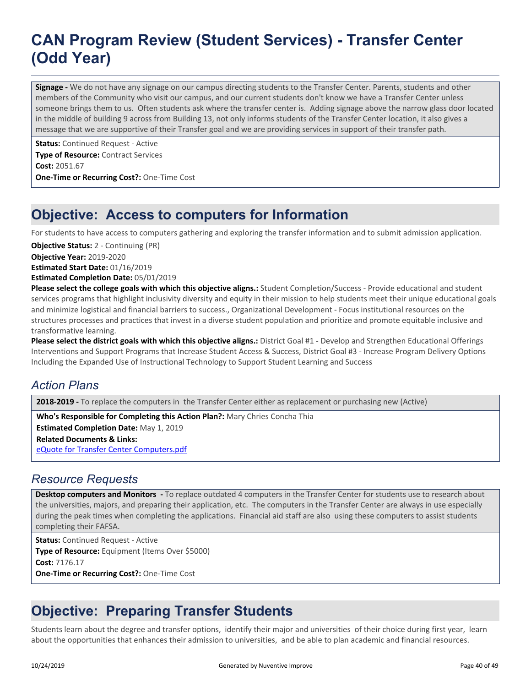## **CAN Program Review (Student Services) - Transfer Center (Odd Year)**

**Signage -** We do not have any signage on our campus directing students to the Transfer Center. Parents, students and other members of the Community who visit our campus, and our current students don't know we have a Transfer Center unless someone brings them to us. Often students ask where the transfer center is. Adding signage above the narrow glass door located in the middle of building 9 across from Building 13, not only informs students of the Transfer Center location, it also gives a message that we are supportive of their Transfer goal and we are providing services in support of their transfer path.

**Status:** Continued Request - Active **Type of Resource:** Contract Services **Cost:** 2051.67 **One-Time or Recurring Cost?:** One-Time Cost

## **Objective: Access to computers for Information**

For students to have access to computers gathering and exploring the transfer information and to submit admission application.

**Objective Status:** 2 - Continuing (PR)

**Objective Year:** 2019-2020

**Estimated Start Date:** 01/16/2019

**Estimated Completion Date:** 05/01/2019

**Please select the college goals with which this objective aligns.:** Student Completion/Success - Provide educational and student services programs that highlight inclusivity diversity and equity in their mission to help students meet their unique educational goals and minimize logistical and financial barriers to success., Organizational Development - Focus institutional resources on the structures processes and practices that invest in a diverse student population and prioritize and promote equitable inclusive and transformative learning.

**Please select the district goals with which this objective aligns.:** District Goal #1 - Develop and Strengthen Educational Offerings Interventions and Support Programs that Increase Student Access & Success, District Goal #3 - Increase Program Delivery Options Including the Expanded Use of Instructional Technology to Support Student Learning and Success

### *Action Plans*

**2018-2019 -** To replace the computers in the Transfer Center either as replacement or purchasing new (Active)

**Related Documents & Links:** [eQuote for Transfer Center Computers.pdf](https://sanmateo.tracdat.com:443/tracdat/viewDocument?y=9GsENIcFYX2Q) **Who's Responsible for Completing this Action Plan?:** Mary Chries Concha Thia **Estimated Completion Date:** May 1, 2019

#### *Resource Requests*

**Desktop computers and Monitors -** To replace outdated 4 computers in the Transfer Center for students use to research about the universities, majors, and preparing their application, etc. The computers in the Transfer Center are always in use especially during the peak times when completing the applications. Financial aid staff are also using these computers to assist students completing their FAFSA.

**Status:** Continued Request - Active **Type of Resource:** Equipment (Items Over \$5000) **Cost:** 7176.17 **One-Time or Recurring Cost?:** One-Time Cost

## **Objective: Preparing Transfer Students**

Students learn about the degree and transfer options, identify their major and universities of their choice during first year, learn about the opportunities that enhances their admission to universities, and be able to plan academic and financial resources.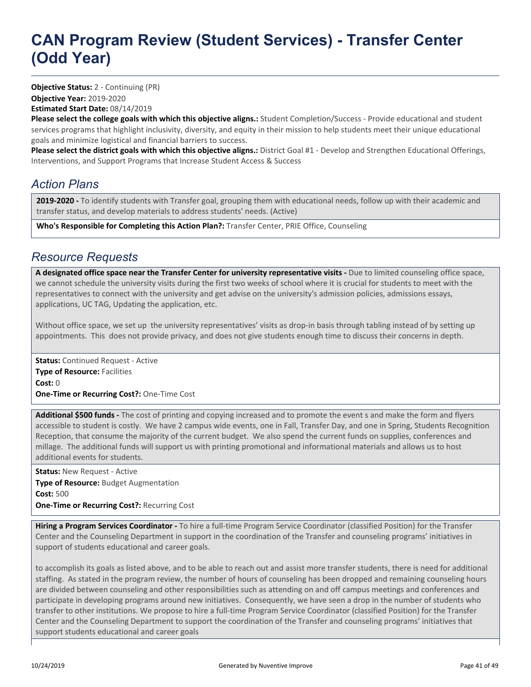**Objective Year:** 2019-2020 **Estimated Start Date:** 08/14/2019 **Objective Status:** 2 - Continuing (PR)

**Please select the college goals with which this objective aligns.:** Student Completion/Success - Provide educational and student services programs that highlight inclusivity, diversity, and equity in their mission to help students meet their unique educational goals and minimize logistical and financial barriers to success.

**Please select the district goals with which this objective aligns.:** District Goal #1 - Develop and Strengthen Educational Offerings, Interventions, and Support Programs that Increase Student Access & Success

### *Action Plans*

**2019-2020 -** To identify students with Transfer goal, grouping them with educational needs, follow up with their academic and transfer status, and develop materials to address students' needs. (Active)

**Who's Responsible for Completing this Action Plan?:** Transfer Center, PRIE Office, Counseling

#### *Resource Requests*

A designated office space near the Transfer Center for university representative visits - Due to limited counseling office space, we cannot schedule the university visits during the first two weeks of school where it is crucial for students to meet with the representatives to connect with the university and get advise on the university's admission policies, admissions essays, applications, UC TAG, Updating the application, etc.

Without office space, we set up the university representatives' visits as drop-in basis through tabling instead of by setting up appointments. This does not provide privacy, and does not give students enough time to discuss their concerns in depth.

**Status:** Continued Request - Active **Type of Resource:** Facilities **Cost:** 0 **One-Time or Recurring Cost?:** One-Time Cost

**Additional \$500 funds -** The cost of printing and copying increased and to promote the event s and make the form and flyers accessible to student is costly. We have 2 campus wide events, one in Fall, Transfer Day, and one in Spring, Students Recognition Reception, that consume the majority of the current budget. We also spend the current funds on supplies, conferences and millage. The additional funds will support us with printing promotional and informational materials and allows us to host additional events for students.

**Status: New Request - Active Type of Resource:** Budget Augmentation **Cost:** 500 **One-Time or Recurring Cost?:** Recurring Cost

**Hiring a Program Services Coordinator -** To hire a full-time Program Service Coordinator (classified Position) for the Transfer Center and the Counseling Department in support in the coordination of the Transfer and counseling programs' initiatives in support of students educational and career goals.

to accomplish its goals as listed above, and to be able to reach out and assist more transfer students, there is need for additional staffing. As stated in the program review, the number of hours of counseling has been dropped and remaining counseling hours are divided between counseling and other responsibilities such as attending on and off campus meetings and conferences and participate in developing programs around new initiatives. Consequently, we have seen a drop in the number of students who transfer to other institutions. We propose to hire a full-time Program Service Coordinator (classified Position) for the Transfer Center and the Counseling Department to support the coordination of the Transfer and counseling programs' initiatives that support students educational and career goals